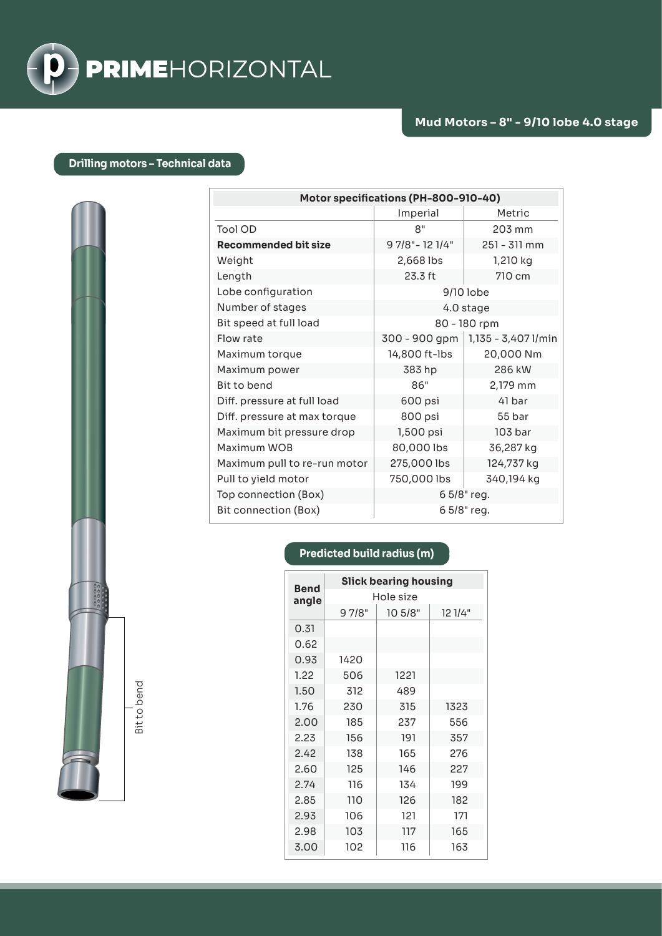

## **Drilling motors – Technical data**

| Motor specifications (PH-800-910-40) |                  |                     |  |
|--------------------------------------|------------------|---------------------|--|
|                                      | Imperial         | Metric              |  |
| Tool OD                              | 8"               | 203 mm              |  |
| <b>Recommended bit size</b>          | 9 7/8" - 12 1/4" | $251 - 311$ mm      |  |
| Weight                               | 2,668 lbs        | 1,210 kg            |  |
| Length                               | 23.3 ft          | 710 cm              |  |
| Lobe configuration                   | 9/10 lobe        |                     |  |
| Number of stages                     | 4.0 stage        |                     |  |
| Bit speed at full load               | 80 - 180 rpm     |                     |  |
| Flow rate                            | 300 - 900 gpm    | 1,135 - 3,407 l/min |  |
| Maximum torque                       | 14,800 ft-lbs    | 20,000 Nm           |  |
| Maximum power                        | 383 hp           | 286 kW              |  |
| Bit to bend                          | 86"              | 2,179 mm            |  |
| Diff. pressure at full load          | 600 psi          | 41 bar              |  |
| Diff. pressure at max torque         | 800 psi          | 55 bar              |  |
| Maximum bit pressure drop            | 1,500 psi        | 103 bar             |  |
| Maximum WOB                          | 80,000 lbs       | 36,287 kg           |  |
| Maximum pull to re-run motor         | 275,000 lbs      | 124,737 kg          |  |
| Pull to yield motor                  | 750,000 lbs      | 340,194 kg          |  |
| Top connection (Box)                 | 6 5/8" reg.      |                     |  |
| Bit connection (Box)                 | 6 5/8" reg.      |                     |  |

## **Predicted build radius (m)**

| <b>Bend</b><br>angle | <b>Slick bearing housing</b> |         |         |  |
|----------------------|------------------------------|---------|---------|--|
|                      | Hole size                    |         |         |  |
|                      | 97/8"                        | 10 5/8" | 12 1/4" |  |
| 0.31                 |                              |         |         |  |
| 0.62                 |                              |         |         |  |
| 0.93                 | 1420                         |         |         |  |
| 1.22                 | 506                          | 1221    |         |  |
| 1.50                 | 312                          | 489     |         |  |
| 1.76                 | 230                          | 315     | 1323    |  |
| 2.00                 | 185                          | 237     | 556     |  |
| 2.23                 | 156                          | 191     | 357     |  |
| 2.42                 | 138                          | 165     | 276     |  |
| 2.60                 | 125                          | 146     | 227     |  |
| 2.74                 | 116                          | 134     | 199     |  |
| 2.85                 | 110                          | 126     | 182     |  |
| 2.93                 | 106                          | 121     | 171     |  |
| 2.98                 | 103                          | 117     | 165     |  |
| 3.00                 | 102                          | 116     | 163     |  |

Bit to bend Bit to bend